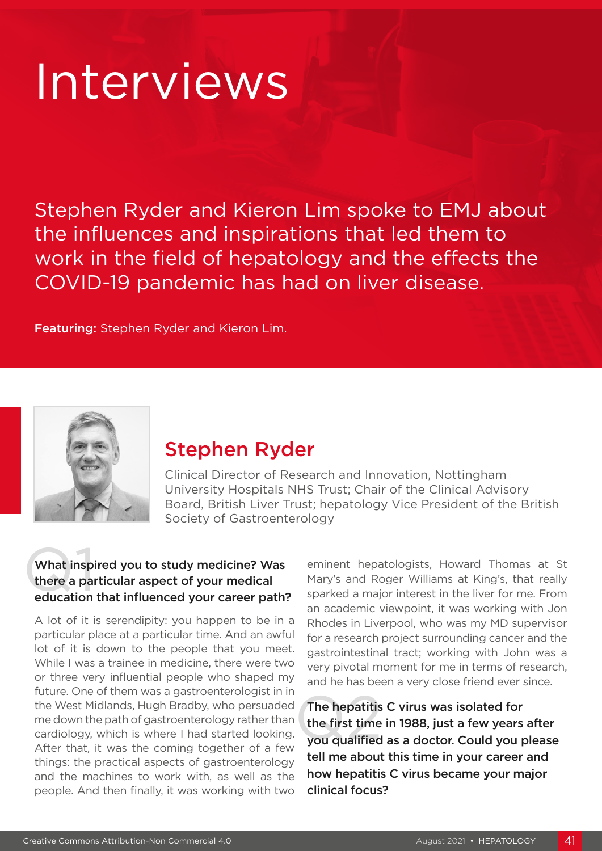# Interviews

Stephen Ryder and Kieron Lim spoke to EMJ about the influences and inspirations that led them to work in the field of hepatology and the effects the COVID-19 pandemic has had on liver disease.

Featuring: Stephen Ryder and Kieron Lim.



# Stephen Ryder

Clinical Director of Research and Innovation, Nottingham University Hospitals NHS Trust; Chair of the Clinical Advisory Board, British Liver Trust; hepatology Vice President of the British Society of Gastroenterology

## What inspi<br>there a pare<br>education What inspired you to study medicine? Was there a particular aspect of your medical education that influenced your career path?

A lot of it is serendipity: you happen to be in a particular place at a particular time. And an awful lot of it is down to the people that you meet. While I was a trainee in medicine, there were two or three very influential people who shaped my future. One of them was a gastroenterologist in in the West Midlands, Hugh Bradby, who persuaded me down the path of gastroenterology rather than cardiology, which is where I had started looking. After that, it was the coming together of a few things: the practical aspects of gastroenterology and the machines to work with, as well as the people. And then finally, it was working with two

eminent hepatologists, Howard Thomas at St Mary's and Roger Williams at King's, that really sparked a major interest in the liver for me. From an academic viewpoint, it was working with Jon Rhodes in Liverpool, who was my MD supervisor for a research project surrounding cancer and the gastrointestinal tract; working with John was a very pivotal moment for me in terms of research, and he has been a very close friend ever since.

The hepatitis<br>the first time<br>you qualified The hepatitis C virus was isolated for the first time in 1988, just a few years after you qualified as a doctor. Could you please tell me about this time in your career and how hepatitis C virus became your major clinical focus?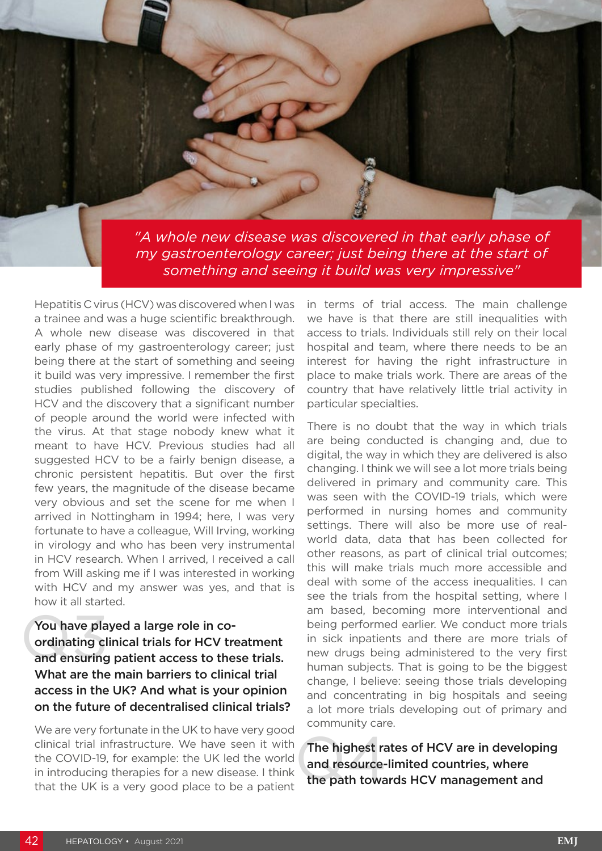*"A whole new disease was discovered in that early phase of my gastroenterology career; just being there at the start of something and seeing it build was very impressive"*

Hepatitis C virus (HCV) was discovered when I was a trainee and was a huge scientific breakthrough. A whole new disease was discovered in that early phase of my gastroenterology career; just being there at the start of something and seeing it build was very impressive. I remember the first studies published following the discovery of HCV and the discovery that a significant number of people around the world were infected with the virus. At that stage nobody knew what it meant to have HCV. Previous studies had all suggested HCV to be a fairly benign disease, a chronic persistent hepatitis. But over the first few years, the magnitude of the disease became very obvious and set the scene for me when I arrived in Nottingham in 1994; here, I was very fortunate to have a colleague, Will Irving, working in virology and who has been very instrumental in HCV research. When I arrived, I received a call from Will asking me if I was interested in working with HCV and my answer was yes, and that is how it all started.

You have pla<br>ordinating cl<br>and ensuring You have played a large role in coordinating clinical trials for HCV treatment and ensuring patient access to these trials. What are the main barriers to clinical trial access in the UK? And what is your opinion on the future of decentralised clinical trials?

We are very fortunate in the UK to have very good clinical trial infrastructure. We have seen it with the COVID-19, for example: the UK led the world in introducing therapies for a new disease. I think that the UK is a very good place to be a patient

in terms of trial access. The main challenge we have is that there are still inequalities with access to trials. Individuals still rely on their local hospital and team, where there needs to be an interest for having the right infrastructure in place to make trials work. There are areas of the country that have relatively little trial activity in particular specialties.

There is no doubt that the way in which trials are being conducted is changing and, due to digital, the way in which they are delivered is also changing. I think we will see a lot more trials being delivered in primary and community care. This was seen with the COVID-19 trials, which were performed in nursing homes and community settings. There will also be more use of realworld data, data that has been collected for other reasons, as part of clinical trial outcomes; this will make trials much more accessible and deal with some of the access inequalities. I can see the trials from the hospital setting, where I am based, becoming more interventional and being performed earlier. We conduct more trials in sick inpatients and there are more trials of new drugs being administered to the very first human subjects. That is going to be the biggest change, I believe: seeing those trials developing and concentrating in big hospitals and seeing a lot more trials developing out of primary and community care.

The highest rand resource-<br>the path towa The highest rates of HCV are in developing and resource-limited countries, where the path towards HCV management and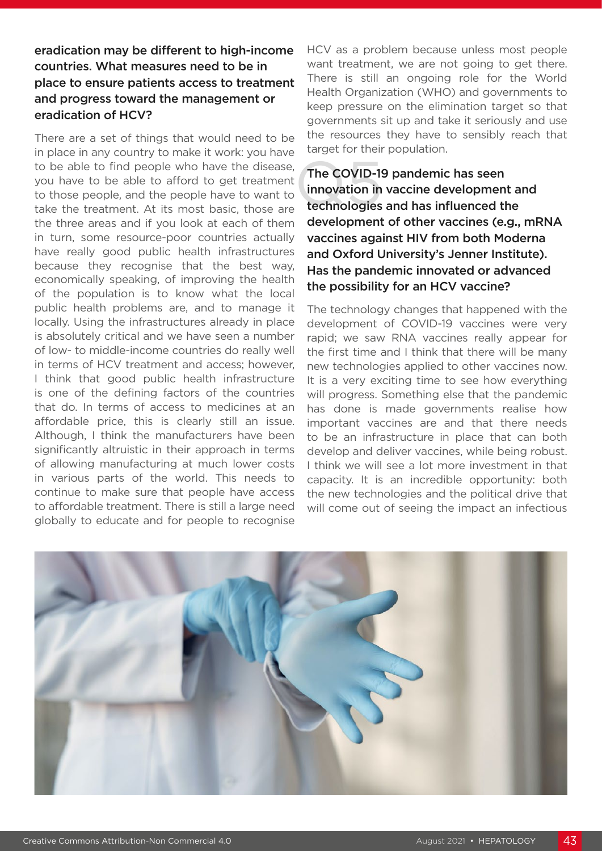# eradication may be different to high-income countries. What measures need to be in place to ensure patients access to treatment and progress toward the management or eradication of HCV?

There are a set of things that would need to be in place in any country to make it work: you have to be able to find people who have the disease, you have to be able to afford to get treatment to those people, and the people have to want to take the treatment. At its most basic, those are the three areas and if you look at each of them in turn, some resource-poor countries actually have really good public health infrastructures because they recognise that the best way, economically speaking, of improving the health of the population is to know what the local public health problems are, and to manage it locally. Using the infrastructures already in place is absolutely critical and we have seen a number of low- to middle-income countries do really well in terms of HCV treatment and access; however, I think that good public health infrastructure is one of the defining factors of the countries that do. In terms of access to medicines at an affordable price, this is clearly still an issue. Although, I think the manufacturers have been significantly altruistic in their approach in terms of allowing manufacturing at much lower costs in various parts of the world. This needs to continue to make sure that people have access to affordable treatment. There is still a large need globally to educate and for people to recognise

HCV as a problem because unless most people want treatment, we are not going to get there. There is still an ongoing role for the World Health Organization (WHO) and governments to keep pressure on the elimination target so that governments sit up and take it seriously and use the resources they have to sensibly reach that target for their population.

The COVID-19<br>innovation in<br>technologies The COVID-19 pandemic has seen innovation in vaccine development and technologies and has influenced the development of other vaccines (e.g., mRNA vaccines against HIV from both Moderna and Oxford University's Jenner Institute). Has the pandemic innovated or advanced the possibility for an HCV vaccine?

The technology changes that happened with the development of COVID-19 vaccines were very rapid; we saw RNA vaccines really appear for the first time and I think that there will be many new technologies applied to other vaccines now. It is a very exciting time to see how everything will progress. Something else that the pandemic has done is made governments realise how important vaccines are and that there needs to be an infrastructure in place that can both develop and deliver vaccines, while being robust. I think we will see a lot more investment in that capacity. It is an incredible opportunity: both the new technologies and the political drive that will come out of seeing the impact an infectious